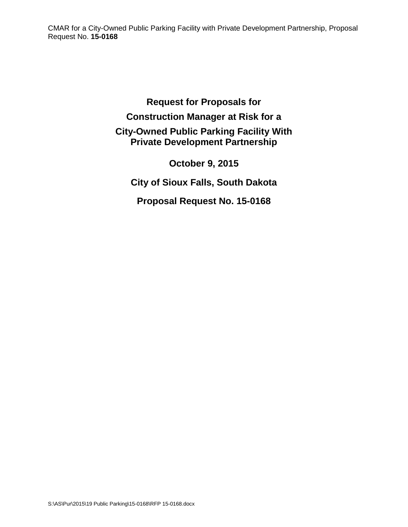**Request for Proposals for Construction Manager at Risk for a City-Owned Public Parking Facility With Private Development Partnership**

**October 9, 2015 City of Sioux Falls, South Dakota**

**Proposal Request No. 15-0168**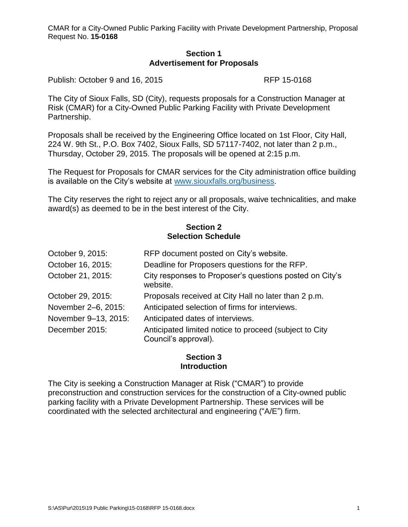#### **Section 1 Advertisement for Proposals**

Publish: October 9 and 16, 2015 RFP 15-0168

The City of Sioux Falls, SD (City), requests proposals for a Construction Manager at Risk (CMAR) for a City-Owned Public Parking Facility with Private Development Partnership.

Proposals shall be received by the Engineering Office located on 1st Floor, City Hall, 224 W. 9th St., P.O. Box 7402, Sioux Falls, SD 57117-7402, not later than 2 p.m., Thursday, October 29, 2015. The proposals will be opened at 2:15 p.m.

The Request for Proposals for CMAR services for the City administration office building is available on the City's website at [www.siouxfalls.org/business.](http://www.siouxfalls.org/business/rfq.aspx)

The City reserves the right to reject any or all proposals, waive technicalities, and make award(s) as deemed to be in the best interest of the City.

### **Section 2 Selection Schedule**

| October 9, 2015:     | RFP document posted on City's website.                                         |
|----------------------|--------------------------------------------------------------------------------|
| October 16, 2015:    | Deadline for Proposers questions for the RFP.                                  |
| October 21, 2015:    | City responses to Proposer's questions posted on City's<br>website.            |
| October 29, 2015:    | Proposals received at City Hall no later than 2 p.m.                           |
| November 2-6, 2015:  | Anticipated selection of firms for interviews.                                 |
| November 9-13, 2015: | Anticipated dates of interviews.                                               |
| December 2015:       | Anticipated limited notice to proceed (subject to City<br>Council's approval). |

# **Section 3 Introduction**

The City is seeking a Construction Manager at Risk ("CMAR") to provide preconstruction and construction services for the construction of a City-owned public parking facility with a Private Development Partnership. These services will be coordinated with the selected architectural and engineering ("A/E") firm.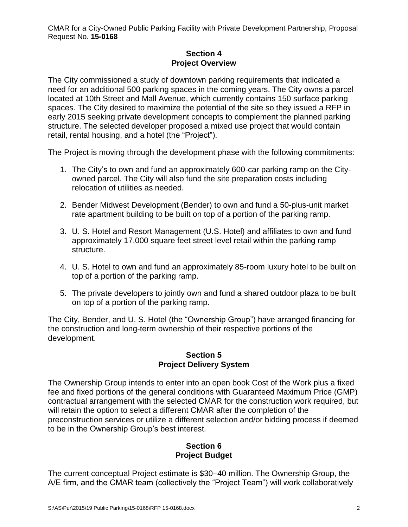# **Section 4 Project Overview**

The City commissioned a study of downtown parking requirements that indicated a need for an additional 500 parking spaces in the coming years. The City owns a parcel located at 10th Street and Mall Avenue, which currently contains 150 surface parking spaces. The City desired to maximize the potential of the site so they issued a RFP in early 2015 seeking private development concepts to complement the planned parking structure. The selected developer proposed a mixed use project that would contain retail, rental housing, and a hotel (the "Project").

The Project is moving through the development phase with the following commitments:

- 1. The City's to own and fund an approximately 600-car parking ramp on the Cityowned parcel. The City will also fund the site preparation costs including relocation of utilities as needed.
- 2. Bender Midwest Development (Bender) to own and fund a 50-plus-unit market rate apartment building to be built on top of a portion of the parking ramp.
- 3. U. S. Hotel and Resort Management (U.S. Hotel) and affiliates to own and fund approximately 17,000 square feet street level retail within the parking ramp structure.
- 4. U. S. Hotel to own and fund an approximately 85-room luxury hotel to be built on top of a portion of the parking ramp.
- 5. The private developers to jointly own and fund a shared outdoor plaza to be built on top of a portion of the parking ramp.

The City, Bender, and U. S. Hotel (the "Ownership Group") have arranged financing for the construction and long-term ownership of their respective portions of the development.

# **Section 5 Project Delivery System**

The Ownership Group intends to enter into an open book Cost of the Work plus a fixed fee and fixed portions of the general conditions with Guaranteed Maximum Price (GMP) contractual arrangement with the selected CMAR for the construction work required, but will retain the option to select a different CMAR after the completion of the preconstruction services or utilize a different selection and/or bidding process if deemed to be in the Ownership Group's best interest.

# **Section 6 Project Budget**

The current conceptual Project estimate is \$30–40 million. The Ownership Group, the A/E firm, and the CMAR team (collectively the "Project Team") will work collaboratively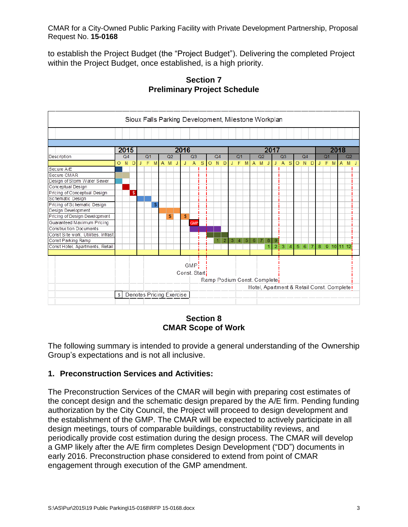to establish the Project Budget (the "Project Budget"). Delivering the completed Project within the Project Budget, once established, is a high priority.



**Section 7 Preliminary Project Schedule**

# **Section 8 CMAR Scope of Work**

The following summary is intended to provide a general understanding of the Ownership Group's expectations and is not all inclusive.

# **1. Preconstruction Services and Activities:**

The Preconstruction Services of the CMAR will begin with preparing cost estimates of the concept design and the schematic design prepared by the A/E firm. Pending funding authorization by the City Council, the Project will proceed to design development and the establishment of the GMP. The CMAR will be expected to actively participate in all design meetings, tours of comparable buildings, constructability reviews, and periodically provide cost estimation during the design process. The CMAR will develop a GMP likely after the A/E firm completes Design Development ("DD") documents in early 2016. Preconstruction phase considered to extend from point of CMAR engagement through execution of the GMP amendment.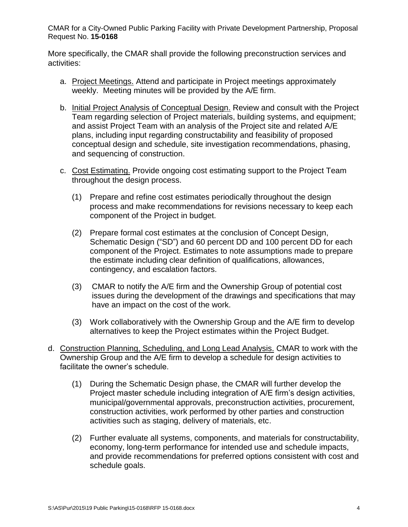More specifically, the CMAR shall provide the following preconstruction services and activities:

- a. Project Meetings. Attend and participate in Project meetings approximately weekly. Meeting minutes will be provided by the A/E firm.
- b. Initial Project Analysis of Conceptual Design. Review and consult with the Project Team regarding selection of Project materials, building systems, and equipment; and assist Project Team with an analysis of the Project site and related A/E plans, including input regarding constructability and feasibility of proposed conceptual design and schedule, site investigation recommendations, phasing, and sequencing of construction.
- c. Cost Estimating. Provide ongoing cost estimating support to the Project Team throughout the design process.
	- (1) Prepare and refine cost estimates periodically throughout the design process and make recommendations for revisions necessary to keep each component of the Project in budget.
	- (2) Prepare formal cost estimates at the conclusion of Concept Design, Schematic Design ("SD") and 60 percent DD and 100 percent DD for each component of the Project. Estimates to note assumptions made to prepare the estimate including clear definition of qualifications, allowances, contingency, and escalation factors.
	- (3) CMAR to notify the A/E firm and the Ownership Group of potential cost issues during the development of the drawings and specifications that may have an impact on the cost of the work.
	- (3) Work collaboratively with the Ownership Group and the A/E firm to develop alternatives to keep the Project estimates within the Project Budget.
- d. Construction Planning, Scheduling, and Long Lead Analysis. CMAR to work with the Ownership Group and the A/E firm to develop a schedule for design activities to facilitate the owner's schedule.
	- (1) During the Schematic Design phase, the CMAR will further develop the Project master schedule including integration of A/E firm's design activities, municipal/governmental approvals, preconstruction activities, procurement, construction activities, work performed by other parties and construction activities such as staging, delivery of materials, etc.
	- (2) Further evaluate all systems, components, and materials for constructability, economy, long-term performance for intended use and schedule impacts, and provide recommendations for preferred options consistent with cost and schedule goals.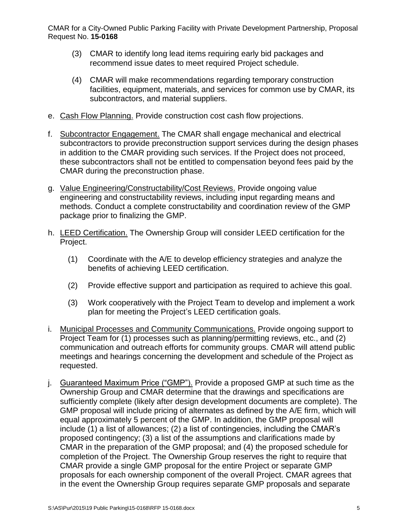- (3) CMAR to identify long lead items requiring early bid packages and recommend issue dates to meet required Project schedule.
- (4) CMAR will make recommendations regarding temporary construction facilities, equipment, materials, and services for common use by CMAR, its subcontractors, and material suppliers.
- e. Cash Flow Planning. Provide construction cost cash flow projections.
- f. Subcontractor Engagement. The CMAR shall engage mechanical and electrical subcontractors to provide preconstruction support services during the design phases in addition to the CMAR providing such services. If the Project does not proceed, these subcontractors shall not be entitled to compensation beyond fees paid by the CMAR during the preconstruction phase.
- g. Value Engineering/Constructability/Cost Reviews. Provide ongoing value engineering and constructability reviews, including input regarding means and methods. Conduct a complete constructability and coordination review of the GMP package prior to finalizing the GMP.
- h. LEED Certification. The Ownership Group will consider LEED certification for the Project.
	- (1) Coordinate with the A/E to develop efficiency strategies and analyze the benefits of achieving LEED certification.
	- (2) Provide effective support and participation as required to achieve this goal.
	- (3) Work cooperatively with the Project Team to develop and implement a work plan for meeting the Project's LEED certification goals.
- i. Municipal Processes and Community Communications. Provide ongoing support to Project Team for (1) processes such as planning/permitting reviews, etc., and (2) communication and outreach efforts for community groups. CMAR will attend public meetings and hearings concerning the development and schedule of the Project as requested.
- j. Guaranteed Maximum Price ("GMP"). Provide a proposed GMP at such time as the Ownership Group and CMAR determine that the drawings and specifications are sufficiently complete (likely after design development documents are complete). The GMP proposal will include pricing of alternates as defined by the A/E firm, which will equal approximately 5 percent of the GMP. In addition, the GMP proposal will include (1) a list of allowances; (2) a list of contingencies, including the CMAR's proposed contingency; (3) a list of the assumptions and clarifications made by CMAR in the preparation of the GMP proposal; and (4) the proposed schedule for completion of the Project. The Ownership Group reserves the right to require that CMAR provide a single GMP proposal for the entire Project or separate GMP proposals for each ownership component of the overall Project. CMAR agrees that in the event the Ownership Group requires separate GMP proposals and separate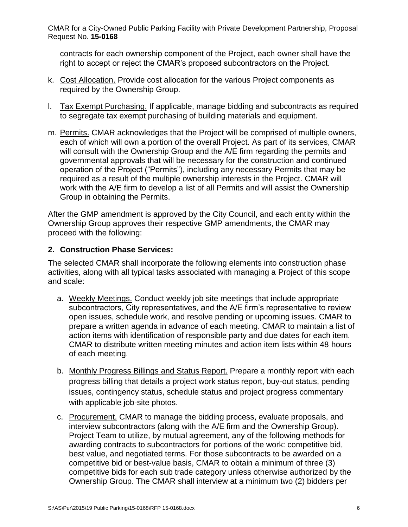contracts for each ownership component of the Project, each owner shall have the right to accept or reject the CMAR's proposed subcontractors on the Project.

- k. Cost Allocation. Provide cost allocation for the various Project components as required by the Ownership Group.
- l. Tax Exempt Purchasing. If applicable, manage bidding and subcontracts as required to segregate tax exempt purchasing of building materials and equipment.
- m. Permits. CMAR acknowledges that the Project will be comprised of multiple owners, each of which will own a portion of the overall Project. As part of its services, CMAR will consult with the Ownership Group and the A/E firm regarding the permits and governmental approvals that will be necessary for the construction and continued operation of the Project ("Permits"), including any necessary Permits that may be required as a result of the multiple ownership interests in the Project. CMAR will work with the A/E firm to develop a list of all Permits and will assist the Ownership Group in obtaining the Permits.

After the GMP amendment is approved by the City Council, and each entity within the Ownership Group approves their respective GMP amendments, the CMAR may proceed with the following:

# **2. Construction Phase Services:**

The selected CMAR shall incorporate the following elements into construction phase activities, along with all typical tasks associated with managing a Project of this scope and scale:

- a. Weekly Meetings. Conduct weekly job site meetings that include appropriate subcontractors, City representatives, and the A/E firm's representative to review open issues, schedule work, and resolve pending or upcoming issues. CMAR to prepare a written agenda in advance of each meeting. CMAR to maintain a list of action items with identification of responsible party and due dates for each item. CMAR to distribute written meeting minutes and action item lists within 48 hours of each meeting.
- b. Monthly Progress Billings and Status Report. Prepare a monthly report with each progress billing that details a project work status report, buy-out status, pending issues, contingency status, schedule status and project progress commentary with applicable job-site photos.
- c. Procurement. CMAR to manage the bidding process, evaluate proposals, and interview subcontractors (along with the A/E firm and the Ownership Group). Project Team to utilize, by mutual agreement, any of the following methods for awarding contracts to subcontractors for portions of the work: competitive bid, best value, and negotiated terms. For those subcontracts to be awarded on a competitive bid or best-value basis, CMAR to obtain a minimum of three (3) competitive bids for each sub trade category unless otherwise authorized by the Ownership Group. The CMAR shall interview at a minimum two (2) bidders per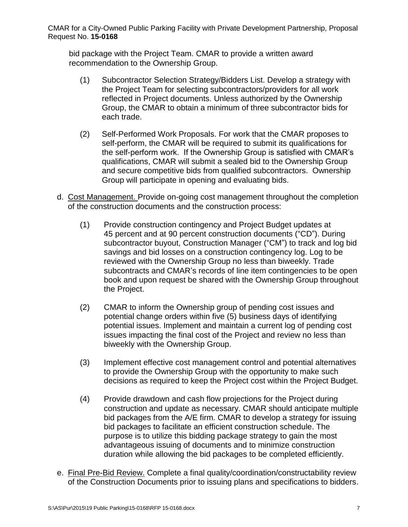bid package with the Project Team. CMAR to provide a written award recommendation to the Ownership Group.

- (1) Subcontractor Selection Strategy/Bidders List. Develop a strategy with the Project Team for selecting subcontractors/providers for all work reflected in Project documents. Unless authorized by the Ownership Group, the CMAR to obtain a minimum of three subcontractor bids for each trade.
- (2) Self-Performed Work Proposals. For work that the CMAR proposes to self-perform, the CMAR will be required to submit its qualifications for the self-perform work. If the Ownership Group is satisfied with CMAR's qualifications, CMAR will submit a sealed bid to the Ownership Group and secure competitive bids from qualified subcontractors. Ownership Group will participate in opening and evaluating bids.
- d. Cost Management. Provide on-going cost management throughout the completion of the construction documents and the construction process:
	- (1) Provide construction contingency and Project Budget updates at 45 percent and at 90 percent construction documents ("CD"). During subcontractor buyout, Construction Manager ("CM") to track and log bid savings and bid losses on a construction contingency log. Log to be reviewed with the Ownership Group no less than biweekly. Trade subcontracts and CMAR's records of line item contingencies to be open book and upon request be shared with the Ownership Group throughout the Project.
	- (2) CMAR to inform the Ownership group of pending cost issues and potential change orders within five (5) business days of identifying potential issues. Implement and maintain a current log of pending cost issues impacting the final cost of the Project and review no less than biweekly with the Ownership Group.
	- (3) Implement effective cost management control and potential alternatives to provide the Ownership Group with the opportunity to make such decisions as required to keep the Project cost within the Project Budget.
	- (4) Provide drawdown and cash flow projections for the Project during construction and update as necessary. CMAR should anticipate multiple bid packages from the A/E firm. CMAR to develop a strategy for issuing bid packages to facilitate an efficient construction schedule. The purpose is to utilize this bidding package strategy to gain the most advantageous issuing of documents and to minimize construction duration while allowing the bid packages to be completed efficiently.
- e. Final Pre-Bid Review. Complete a final quality/coordination/constructability review of the Construction Documents prior to issuing plans and specifications to bidders.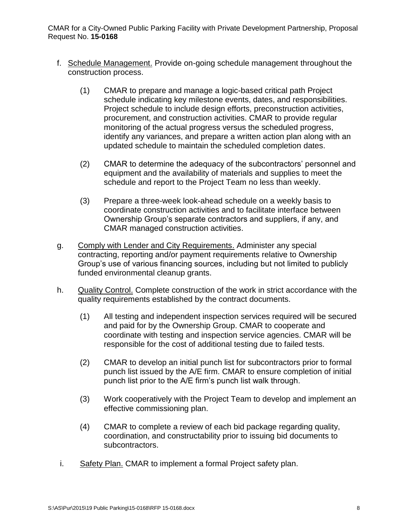- f. Schedule Management. Provide on-going schedule management throughout the construction process.
	- (1) CMAR to prepare and manage a logic-based critical path Project schedule indicating key milestone events, dates, and responsibilities. Project schedule to include design efforts, preconstruction activities, procurement, and construction activities. CMAR to provide regular monitoring of the actual progress versus the scheduled progress, identify any variances, and prepare a written action plan along with an updated schedule to maintain the scheduled completion dates.
	- (2) CMAR to determine the adequacy of the subcontractors' personnel and equipment and the availability of materials and supplies to meet the schedule and report to the Project Team no less than weekly.
	- (3) Prepare a three-week look-ahead schedule on a weekly basis to coordinate construction activities and to facilitate interface between Ownership Group's separate contractors and suppliers, if any, and CMAR managed construction activities.
- g. Comply with Lender and City Requirements. Administer any special contracting, reporting and/or payment requirements relative to Ownership Group's use of various financing sources, including but not limited to publicly funded environmental cleanup grants.
- h. Quality Control. Complete construction of the work in strict accordance with the quality requirements established by the contract documents.
	- (1) All testing and independent inspection services required will be secured and paid for by the Ownership Group. CMAR to cooperate and coordinate with testing and inspection service agencies. CMAR will be responsible for the cost of additional testing due to failed tests.
	- (2) CMAR to develop an initial punch list for subcontractors prior to formal punch list issued by the A/E firm. CMAR to ensure completion of initial punch list prior to the A/E firm's punch list walk through.
	- (3) Work cooperatively with the Project Team to develop and implement an effective commissioning plan.
	- (4) CMAR to complete a review of each bid package regarding quality, coordination, and constructability prior to issuing bid documents to subcontractors.
- i. Safety Plan. CMAR to implement a formal Project safety plan.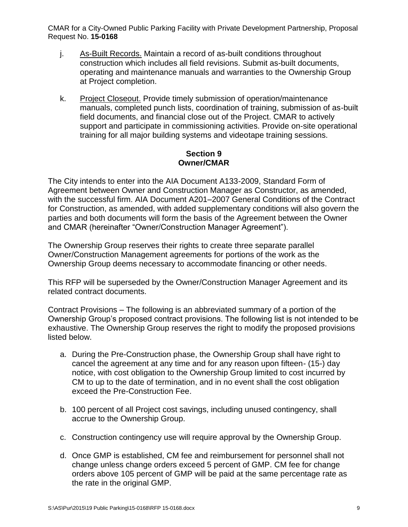- j. As-Built Records. Maintain a record of as-built conditions throughout construction which includes all field revisions. Submit as-built documents, operating and maintenance manuals and warranties to the Ownership Group at Project completion.
- k. Project Closeout. Provide timely submission of operation/maintenance manuals, completed punch lists, coordination of training, submission of as-built field documents, and financial close out of the Project. CMAR to actively support and participate in commissioning activities. Provide on-site operational training for all major building systems and videotape training sessions.

# **Section 9 Owner/CMAR**

The City intends to enter into the AIA Document A133-2009, Standard Form of Agreement between Owner and Construction Manager as Constructor, as amended, with the successful firm. AIA Document A201–2007 General Conditions of the Contract for Construction, as amended, with added supplementary conditions will also govern the parties and both documents will form the basis of the Agreement between the Owner and CMAR (hereinafter "Owner/Construction Manager Agreement").

The Ownership Group reserves their rights to create three separate parallel Owner/Construction Management agreements for portions of the work as the Ownership Group deems necessary to accommodate financing or other needs.

This RFP will be superseded by the Owner/Construction Manager Agreement and its related contract documents.

Contract Provisions – The following is an abbreviated summary of a portion of the Ownership Group's proposed contract provisions. The following list is not intended to be exhaustive. The Ownership Group reserves the right to modify the proposed provisions listed below.

- a. During the Pre-Construction phase, the Ownership Group shall have right to cancel the agreement at any time and for any reason upon fifteen- (15-) day notice, with cost obligation to the Ownership Group limited to cost incurred by CM to up to the date of termination, and in no event shall the cost obligation exceed the Pre-Construction Fee.
- b. 100 percent of all Project cost savings, including unused contingency, shall accrue to the Ownership Group.
- c. Construction contingency use will require approval by the Ownership Group.
- d. Once GMP is established, CM fee and reimbursement for personnel shall not change unless change orders exceed 5 percent of GMP. CM fee for change orders above 105 percent of GMP will be paid at the same percentage rate as the rate in the original GMP.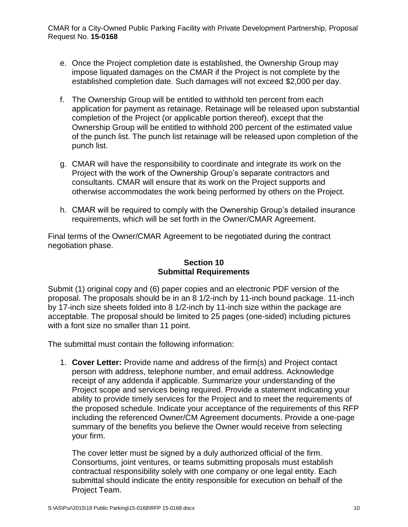- e. Once the Project completion date is established, the Ownership Group may impose liquated damages on the CMAR if the Project is not complete by the established completion date. Such damages will not exceed \$2,000 per day.
- f. The Ownership Group will be entitled to withhold ten percent from each application for payment as retainage. Retainage will be released upon substantial completion of the Project (or applicable portion thereof), except that the Ownership Group will be entitled to withhold 200 percent of the estimated value of the punch list. The punch list retainage will be released upon completion of the punch list.
- g. CMAR will have the responsibility to coordinate and integrate its work on the Project with the work of the Ownership Group's separate contractors and consultants. CMAR will ensure that its work on the Project supports and otherwise accommodates the work being performed by others on the Project.
- h. CMAR will be required to comply with the Ownership Group's detailed insurance requirements, which will be set forth in the Owner/CMAR Agreement.

Final terms of the Owner/CMAR Agreement to be negotiated during the contract negotiation phase.

# **Section 10 Submittal Requirements**

Submit (1) original copy and (6) paper copies and an electronic PDF version of the proposal. The proposals should be in an 8 1/2-inch by 11-inch bound package. 11-inch by 17-inch size sheets folded into 8 1/2-inch by 11-inch size within the package are acceptable. The proposal should be limited to 25 pages (one-sided) including pictures with a font size no smaller than 11 point.

The submittal must contain the following information:

1. **Cover Letter:** Provide name and address of the firm(s) and Project contact person with address, telephone number, and email address. Acknowledge receipt of any addenda if applicable. Summarize your understanding of the Project scope and services being required. Provide a statement indicating your ability to provide timely services for the Project and to meet the requirements of the proposed schedule. Indicate your acceptance of the requirements of this RFP including the referenced Owner/CM Agreement documents. Provide a one-page summary of the benefits you believe the Owner would receive from selecting your firm.

The cover letter must be signed by a duly authorized official of the firm. Consortiums, joint ventures, or teams submitting proposals must establish contractual responsibility solely with one company or one legal entity. Each submittal should indicate the entity responsible for execution on behalf of the Project Team.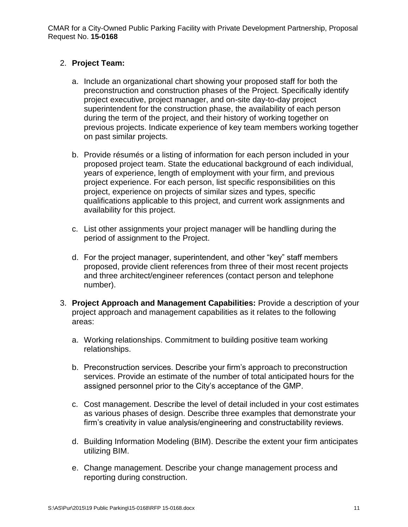## 2. **Project Team:**

- a. Include an organizational chart showing your proposed staff for both the preconstruction and construction phases of the Project. Specifically identify project executive, project manager, and on-site day-to-day project superintendent for the construction phase, the availability of each person during the term of the project, and their history of working together on previous projects. Indicate experience of key team members working together on past similar projects.
- b. Provide résumés or a listing of information for each person included in your proposed project team. State the educational background of each individual, years of experience, length of employment with your firm, and previous project experience. For each person, list specific responsibilities on this project, experience on projects of similar sizes and types, specific qualifications applicable to this project, and current work assignments and availability for this project.
- c. List other assignments your project manager will be handling during the period of assignment to the Project.
- d. For the project manager, superintendent, and other "key" staff members proposed, provide client references from three of their most recent projects and three architect/engineer references (contact person and telephone number).
- 3. **Project Approach and Management Capabilities:** Provide a description of your project approach and management capabilities as it relates to the following areas:
	- a. Working relationships. Commitment to building positive team working relationships.
	- b. Preconstruction services. Describe your firm's approach to preconstruction services. Provide an estimate of the number of total anticipated hours for the assigned personnel prior to the City's acceptance of the GMP.
	- c. Cost management. Describe the level of detail included in your cost estimates as various phases of design. Describe three examples that demonstrate your firm's creativity in value analysis/engineering and constructability reviews.
	- d. Building Information Modeling (BIM). Describe the extent your firm anticipates utilizing BIM.
	- e. Change management. Describe your change management process and reporting during construction.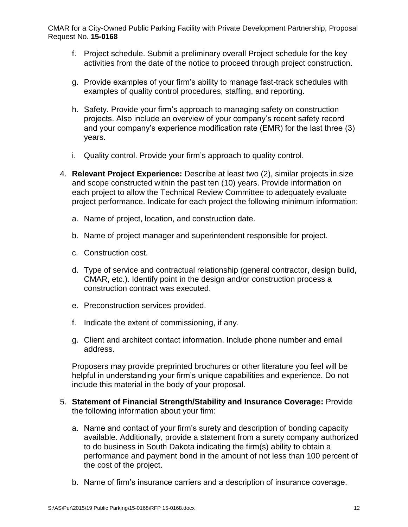- f. Project schedule. Submit a preliminary overall Project schedule for the key activities from the date of the notice to proceed through project construction.
- g. Provide examples of your firm's ability to manage fast-track schedules with examples of quality control procedures, staffing, and reporting.
- h. Safety. Provide your firm's approach to managing safety on construction projects. Also include an overview of your company's recent safety record and your company's experience modification rate (EMR) for the last three (3) years.
- i. Quality control. Provide your firm's approach to quality control.
- 4. **Relevant Project Experience:** Describe at least two (2), similar projects in size and scope constructed within the past ten (10) years. Provide information on each project to allow the Technical Review Committee to adequately evaluate project performance. Indicate for each project the following minimum information:
	- a. Name of project, location, and construction date.
	- b. Name of project manager and superintendent responsible for project.
	- c. Construction cost.
	- d. Type of service and contractual relationship (general contractor, design build, CMAR, etc.). Identify point in the design and/or construction process a construction contract was executed.
	- e. Preconstruction services provided.
	- f. Indicate the extent of commissioning, if any.
	- g. Client and architect contact information. Include phone number and email address.

Proposers may provide preprinted brochures or other literature you feel will be helpful in understanding your firm's unique capabilities and experience. Do not include this material in the body of your proposal.

- 5. **Statement of Financial Strength/Stability and Insurance Coverage:** Provide the following information about your firm:
	- a. Name and contact of your firm's surety and description of bonding capacity available. Additionally, provide a statement from a surety company authorized to do business in South Dakota indicating the firm(s) ability to obtain a performance and payment bond in the amount of not less than 100 percent of the cost of the project.
	- b. Name of firm's insurance carriers and a description of insurance coverage.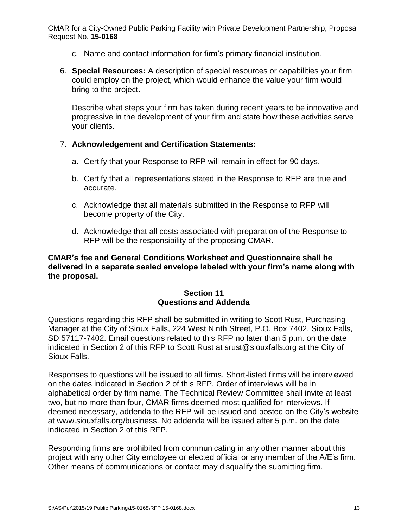- c. Name and contact information for firm's primary financial institution.
- 6. **Special Resources:** A description of special resources or capabilities your firm could employ on the project, which would enhance the value your firm would bring to the project.

Describe what steps your firm has taken during recent years to be innovative and progressive in the development of your firm and state how these activities serve your clients.

## 7. **Acknowledgement and Certification Statements:**

- a. Certify that your Response to RFP will remain in effect for 90 days.
- b. Certify that all representations stated in the Response to RFP are true and accurate.
- c. Acknowledge that all materials submitted in the Response to RFP will become property of the City.
- d. Acknowledge that all costs associated with preparation of the Response to RFP will be the responsibility of the proposing CMAR.

### **CMAR's fee and General Conditions Worksheet and Questionnaire shall be delivered in a separate sealed envelope labeled with your firm's name along with the proposal.**

## **Section 11 Questions and Addenda**

Questions regarding this RFP shall be submitted in writing to Scott Rust, Purchasing Manager at the City of Sioux Falls, 224 West Ninth Street, P.O. Box 7402, Sioux Falls, SD 57117-7402. Email questions related to this RFP no later than 5 p.m. on the date indicated in Section 2 of this RFP to Scott Rust at srust@siouxfalls.org at the City of Sioux Falls.

Responses to questions will be issued to all firms. Short-listed firms will be interviewed on the dates indicated in Section 2 of this RFP. Order of interviews will be in alphabetical order by firm name. The Technical Review Committee shall invite at least two, but no more than four, CMAR firms deemed most qualified for interviews. If deemed necessary, addenda to the RFP will be issued and posted on the City's website at www.siouxfalls.org/business. No addenda will be issued after 5 p.m. on the date indicated in Section 2 of this RFP.

Responding firms are prohibited from communicating in any other manner about this project with any other City employee or elected official or any member of the A/E's firm. Other means of communications or contact may disqualify the submitting firm.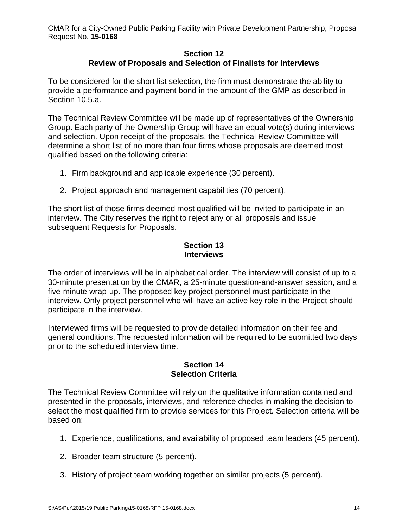### **Section 12 Review of Proposals and Selection of Finalists for Interviews**

To be considered for the short list selection, the firm must demonstrate the ability to provide a performance and payment bond in the amount of the GMP as described in Section 10.5.a.

The Technical Review Committee will be made up of representatives of the Ownership Group. Each party of the Ownership Group will have an equal vote(s) during interviews and selection. Upon receipt of the proposals, the Technical Review Committee will determine a short list of no more than four firms whose proposals are deemed most qualified based on the following criteria:

- 1. Firm background and applicable experience (30 percent).
- 2. Project approach and management capabilities (70 percent).

The short list of those firms deemed most qualified will be invited to participate in an interview. The City reserves the right to reject any or all proposals and issue subsequent Requests for Proposals.

## **Section 13 Interviews**

The order of interviews will be in alphabetical order. The interview will consist of up to a 30-minute presentation by the CMAR, a 25-minute question-and-answer session, and a five-minute wrap-up. The proposed key project personnel must participate in the interview. Only project personnel who will have an active key role in the Project should participate in the interview.

Interviewed firms will be requested to provide detailed information on their fee and general conditions. The requested information will be required to be submitted two days prior to the scheduled interview time.

#### **Section 14 Selection Criteria**

The Technical Review Committee will rely on the qualitative information contained and presented in the proposals, interviews, and reference checks in making the decision to select the most qualified firm to provide services for this Project. Selection criteria will be based on:

- 1. Experience, qualifications, and availability of proposed team leaders (45 percent).
- 2. Broader team structure (5 percent).
- 3. History of project team working together on similar projects (5 percent).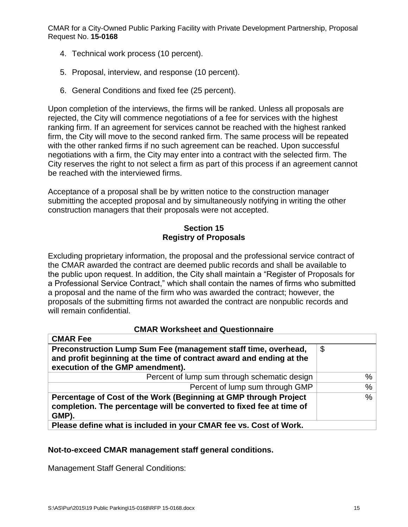- 4. Technical work process (10 percent).
- 5. Proposal, interview, and response (10 percent).
- 6. General Conditions and fixed fee (25 percent).

Upon completion of the interviews, the firms will be ranked. Unless all proposals are rejected, the City will commence negotiations of a fee for services with the highest ranking firm. If an agreement for services cannot be reached with the highest ranked firm, the City will move to the second ranked firm. The same process will be repeated with the other ranked firms if no such agreement can be reached. Upon successful negotiations with a firm, the City may enter into a contract with the selected firm. The City reserves the right to not select a firm as part of this process if an agreement cannot be reached with the interviewed firms.

Acceptance of a proposal shall be by written notice to the construction manager submitting the accepted proposal and by simultaneously notifying in writing the other construction managers that their proposals were not accepted.

## **Section 15 Registry of Proposals**

Excluding proprietary information, the proposal and the professional service contract of the CMAR awarded the contract are deemed public records and shall be available to the public upon request. In addition, the City shall maintain a "Register of Proposals for a Professional Service Contract," which shall contain the names of firms who submitted a proposal and the name of the firm who was awarded the contract; however, the proposals of the submitting firms not awarded the contract are nonpublic records and will remain confidential.

## **CMAR Worksheet and Questionnaire**

| <b>UNAR FEE</b>                                                                                                                                                            |      |
|----------------------------------------------------------------------------------------------------------------------------------------------------------------------------|------|
| Preconstruction Lump Sum Fee (management staff time, overhead,<br>and profit beginning at the time of contract award and ending at the<br>execution of the GMP amendment). | \$   |
| Percent of lump sum through schematic design                                                                                                                               | $\%$ |
| Percent of lump sum through GMP                                                                                                                                            | $\%$ |
| Percentage of Cost of the Work (Beginning at GMP through Project<br>completion. The percentage will be converted to fixed fee at time of<br>GMP).                          | %    |
| Please define what is included in your CMAR fee vs. Cost of Work.                                                                                                          |      |

## **Not-to-exceed CMAR management staff general conditions.**

Management Staff General Conditions:

CMAR Fee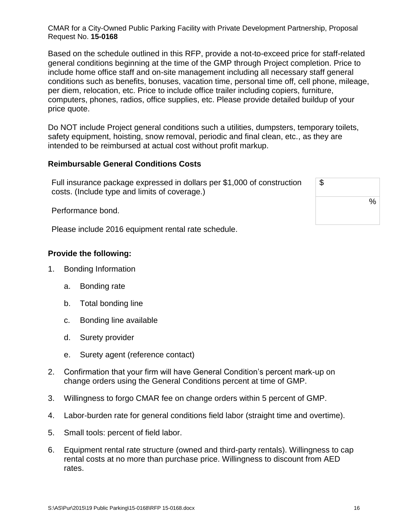Based on the schedule outlined in this RFP, provide a not-to-exceed price for staff-related general conditions beginning at the time of the GMP through Project completion. Price to include home office staff and on-site management including all necessary staff general conditions such as benefits, bonuses, vacation time, personal time off, cell phone, mileage, per diem, relocation, etc. Price to include office trailer including copiers, furniture, computers, phones, radios, office supplies, etc. Please provide detailed buildup of your price quote.

Do NOT include Project general conditions such a utilities, dumpsters, temporary toilets, safety equipment, hoisting, snow removal, periodic and final clean, etc., as they are intended to be reimbursed at actual cost without profit markup.

#### **Reimbursable General Conditions Costs**

Full insurance package expressed in dollars per \$1,000 of construction costs. (Include type and limits of coverage.)

Performance bond.

Please include 2016 equipment rental rate schedule.

## **Provide the following:**

- 1. Bonding Information
	- a. Bonding rate
	- b. Total bonding line
	- c. Bonding line available
	- d. Surety provider
	- e. Surety agent (reference contact)
- 2. Confirmation that your firm will have General Condition's percent mark-up on change orders using the General Conditions percent at time of GMP.
- 3. Willingness to forgo CMAR fee on change orders within 5 percent of GMP.
- 4. Labor-burden rate for general conditions field labor (straight time and overtime).
- 5. Small tools: percent of field labor.
- 6. Equipment rental rate structure (owned and third-party rentals). Willingness to cap rental costs at no more than purchase price. Willingness to discount from AED rates.

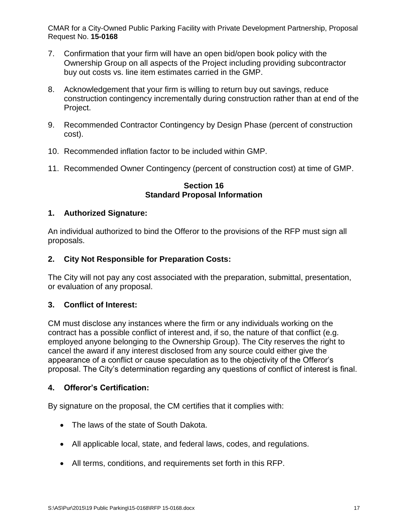- 7. Confirmation that your firm will have an open bid/open book policy with the Ownership Group on all aspects of the Project including providing subcontractor buy out costs vs. line item estimates carried in the GMP.
- 8. Acknowledgement that your firm is willing to return buy out savings, reduce construction contingency incrementally during construction rather than at end of the Project.
- 9. Recommended Contractor Contingency by Design Phase (percent of construction cost).
- 10. Recommended inflation factor to be included within GMP.
- 11. Recommended Owner Contingency (percent of construction cost) at time of GMP.

## **Section 16 Standard Proposal Information**

# **1. Authorized Signature:**

An individual authorized to bind the Offeror to the provisions of the RFP must sign all proposals.

# **2. City Not Responsible for Preparation Costs:**

The City will not pay any cost associated with the preparation, submittal, presentation, or evaluation of any proposal.

# **3. Conflict of Interest:**

CM must disclose any instances where the firm or any individuals working on the contract has a possible conflict of interest and, if so, the nature of that conflict (e.g. employed anyone belonging to the Ownership Group). The City reserves the right to cancel the award if any interest disclosed from any source could either give the appearance of a conflict or cause speculation as to the objectivity of the Offeror's proposal. The City's determination regarding any questions of conflict of interest is final.

# **4. Offeror's Certification:**

By signature on the proposal, the CM certifies that it complies with:

- The laws of the state of South Dakota.
- All applicable local, state, and federal laws, codes, and regulations.
- All terms, conditions, and requirements set forth in this RFP.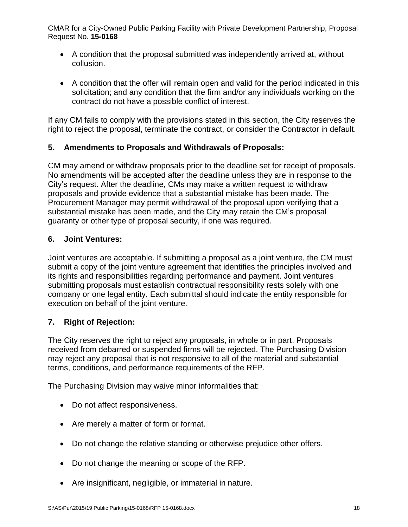- A condition that the proposal submitted was independently arrived at, without collusion.
- A condition that the offer will remain open and valid for the period indicated in this solicitation; and any condition that the firm and/or any individuals working on the contract do not have a possible conflict of interest.

If any CM fails to comply with the provisions stated in this section, the City reserves the right to reject the proposal, terminate the contract, or consider the Contractor in default.

# **5. Amendments to Proposals and Withdrawals of Proposals:**

CM may amend or withdraw proposals prior to the deadline set for receipt of proposals. No amendments will be accepted after the deadline unless they are in response to the City's request. After the deadline, CMs may make a written request to withdraw proposals and provide evidence that a substantial mistake has been made. The Procurement Manager may permit withdrawal of the proposal upon verifying that a substantial mistake has been made, and the City may retain the CM's proposal guaranty or other type of proposal security, if one was required.

## **6. Joint Ventures:**

Joint ventures are acceptable. If submitting a proposal as a joint venture, the CM must submit a copy of the joint venture agreement that identifies the principles involved and its rights and responsibilities regarding performance and payment. Joint ventures submitting proposals must establish contractual responsibility rests solely with one company or one legal entity. Each submittal should indicate the entity responsible for execution on behalf of the joint venture.

## **7. Right of Rejection:**

The City reserves the right to reject any proposals, in whole or in part. Proposals received from debarred or suspended firms will be rejected. The Purchasing Division may reject any proposal that is not responsive to all of the material and substantial terms, conditions, and performance requirements of the RFP.

The Purchasing Division may waive minor informalities that:

- Do not affect responsiveness.
- Are merely a matter of form or format.
- Do not change the relative standing or otherwise prejudice other offers.
- Do not change the meaning or scope of the RFP.
- Are insignificant, negligible, or immaterial in nature.